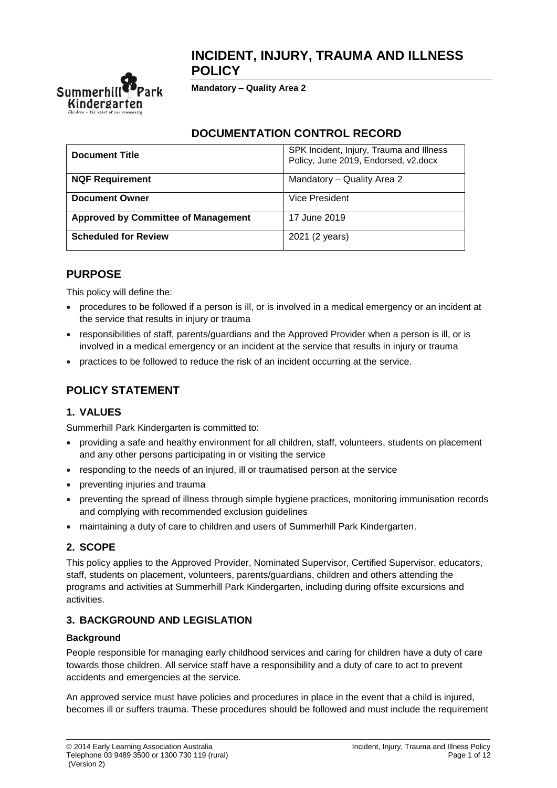## **INCIDENT, INJURY, TRAUMA AND ILLNESS POLICY**



**Mandatory – Quality Area 2**

### **DOCUMENTATION CONTROL RECORD**

| <b>Document Title</b>                      | SPK Incident, Injury, Trauma and Illness<br>Policy, June 2019, Endorsed, v2.docx |  |  |
|--------------------------------------------|----------------------------------------------------------------------------------|--|--|
| <b>NQF Requirement</b>                     | Mandatory - Quality Area 2                                                       |  |  |
| <b>Document Owner</b>                      | Vice President                                                                   |  |  |
| <b>Approved by Committee of Management</b> | 17 June 2019                                                                     |  |  |
| <b>Scheduled for Review</b>                | 2021 (2 years)                                                                   |  |  |

## **PURPOSE**

This policy will define the:

- procedures to be followed if a person is ill, or is involved in a medical emergency or an incident at the service that results in injury or trauma
- responsibilities of staff, parents/guardians and the Approved Provider when a person is ill, or is involved in a medical emergency or an incident at the service that results in injury or trauma
- practices to be followed to reduce the risk of an incident occurring at the service.

# **POLICY STATEMENT**

### **1. VALUES**

Summerhill Park Kindergarten is committed to:

- providing a safe and healthy environment for all children, staff, volunteers, students on placement and any other persons participating in or visiting the service
- responding to the needs of an injured, ill or traumatised person at the service
- preventing injuries and trauma
- preventing the spread of illness through simple hygiene practices, monitoring immunisation records and complying with recommended exclusion guidelines
- maintaining a duty of care to children and users of Summerhill Park Kindergarten.

### **2. SCOPE**

This policy applies to the Approved Provider, Nominated Supervisor, Certified Supervisor, educators, staff, students on placement, volunteers, parents/guardians, children and others attending the programs and activities at Summerhill Park Kindergarten, including during offsite excursions and activities.

### **3. BACKGROUND AND LEGISLATION**

#### **Background**

People responsible for managing early childhood services and caring for children have a duty of care towards those children. All service staff have a responsibility and a duty of care to act to prevent accidents and emergencies at the service.

An approved service must have policies and procedures in place in the event that a child is injured, becomes ill or suffers trauma. These procedures should be followed and must include the requirement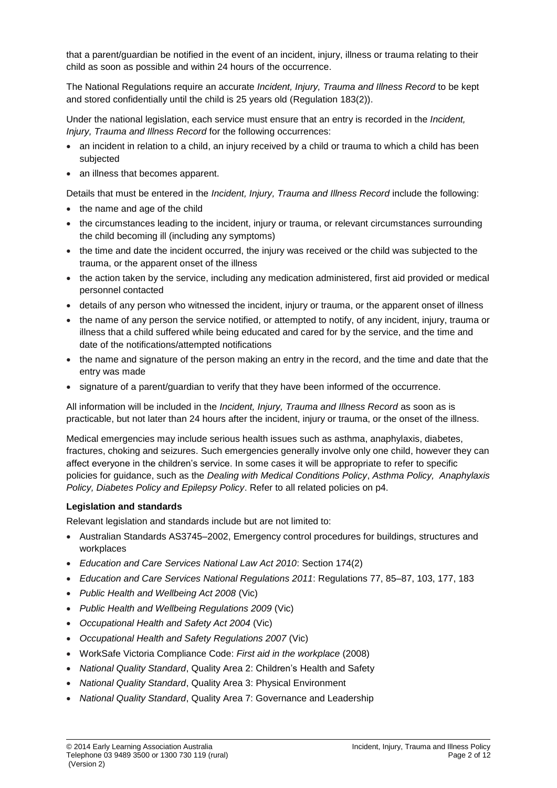that a parent/guardian be notified in the event of an incident, injury, illness or trauma relating to their child as soon as possible and within 24 hours of the occurrence.

The National Regulations require an accurate *Incident, Injury, Trauma and Illness Record* to be kept and stored confidentially until the child is 25 years old (Regulation 183(2)).

Under the national legislation, each service must ensure that an entry is recorded in the *Incident, Injury, Trauma and Illness Record* for the following occurrences:

- an incident in relation to a child, an injury received by a child or trauma to which a child has been subjected
- an illness that becomes apparent.

Details that must be entered in the *Incident, Injury, Trauma and Illness Record* include the following:

- the name and age of the child
- the circumstances leading to the incident, injury or trauma, or relevant circumstances surrounding the child becoming ill (including any symptoms)
- the time and date the incident occurred, the injury was received or the child was subjected to the trauma, or the apparent onset of the illness
- the action taken by the service, including any medication administered, first aid provided or medical personnel contacted
- details of any person who witnessed the incident, injury or trauma, or the apparent onset of illness
- the name of any person the service notified, or attempted to notify, of any incident, injury, trauma or illness that a child suffered while being educated and cared for by the service, and the time and date of the notifications/attempted notifications
- the name and signature of the person making an entry in the record, and the time and date that the entry was made
- signature of a parent/guardian to verify that they have been informed of the occurrence.

All information will be included in the *Incident, Injury, Trauma and Illness Record* as soon as is practicable, but not later than 24 hours after the incident, injury or trauma, or the onset of the illness.

Medical emergencies may include serious health issues such as asthma, anaphylaxis, diabetes, fractures, choking and seizures. Such emergencies generally involve only one child, however they can affect everyone in the children's service. In some cases it will be appropriate to refer to specific policies for guidance, such as the *Dealing with Medical Conditions Policy*, *Asthma Policy, Anaphylaxis Policy, Diabetes Policy and Epilepsy Policy*. Refer to all related policies on p4.

#### **Legislation and standards**

Relevant legislation and standards include but are not limited to:

- Australian Standards AS3745–2002, Emergency control procedures for buildings, structures and workplaces
- *Education and Care Services National Law Act 2010*: Section 174(2)
- *Education and Care Services National Regulations 2011*: Regulations 77, 85–87, 103, 177, 183
- *Public Health and Wellbeing Act 2008* (Vic)
- *Public Health and Wellbeing Regulations 2009* (Vic)
- *Occupational Health and Safety Act 2004* (Vic)
- *Occupational Health and Safety Regulations 2007* (Vic)
- WorkSafe Victoria Compliance Code: *First aid in the workplace* (2008)
- *National Quality Standard*, Quality Area 2: Children's Health and Safety
- *National Quality Standard*, Quality Area 3: Physical Environment
- *National Quality Standard*, Quality Area 7: Governance and Leadership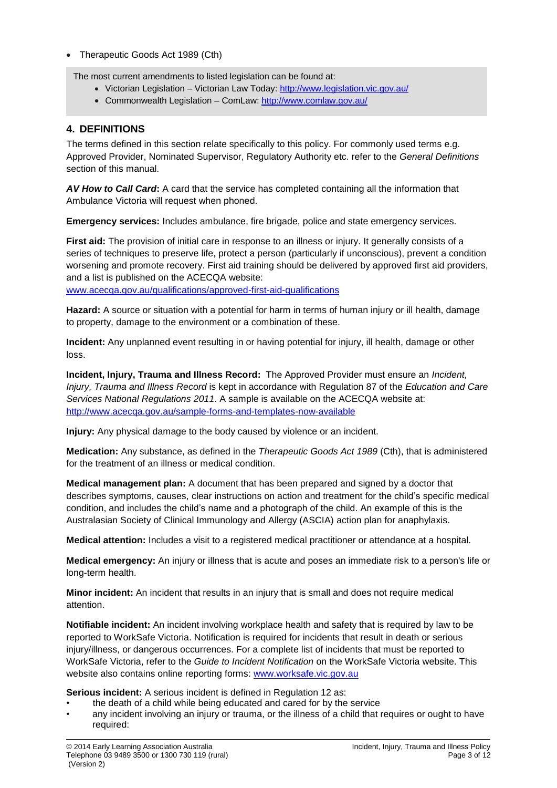• Therapeutic Goods Act 1989 (Cth)

The most current amendments to listed legislation can be found at:

- Victorian Legislation Victorian Law Today:<http://www.legislation.vic.gov.au/>
- Commonwealth Legislation ComLaw:<http://www.comlaw.gov.au/>

### **4. DEFINITIONS**

The terms defined in this section relate specifically to this policy. For commonly used terms e.g. Approved Provider, Nominated Supervisor, Regulatory Authority etc. refer to the *General Definitions* section of this manual.

*AV How to Call Card***:** A card that the service has completed containing all the information that Ambulance Victoria will request when phoned.

**Emergency services:** Includes ambulance, fire brigade, police and state emergency services.

**First aid:** The provision of initial care in response to an illness or injury. It generally consists of a series of techniques to preserve life, protect a person (particularly if unconscious), prevent a condition worsening and promote recovery. First aid training should be delivered by approved first aid providers, and a list is published on the ACECQA website:

[www.acecqa.gov.au/qualifications/approved-first-aid-qualifications](http://www.acecqa.gov.au/qualifications/approved-first-aid-qualifications)

**Hazard:** A source or situation with a potential for harm in terms of human injury or ill health, damage to property, damage to the environment or a combination of these.

**Incident:** Any unplanned event resulting in or having potential for injury, ill health, damage or other loss.

**Incident, Injury, Trauma and Illness Record:** The Approved Provider must ensure an *Incident, Injury, Trauma and Illness Record* is kept in accordance with Regulation 87 of the *Education and Care Services National Regulations 2011*. A sample is available on the ACECQA website at: <http://www.acecqa.gov.au/sample-forms-and-templates-now-available>

**Injury:** Any physical damage to the body caused by violence or an incident.

**Medication:** Any substance, as defined in the *Therapeutic Goods Act 1989* (Cth), that is administered for the treatment of an illness or medical condition.

**Medical management plan:** A document that has been prepared and signed by a doctor that describes symptoms, causes, clear instructions on action and treatment for the child's specific medical condition, and includes the child's name and a photograph of the child. An example of this is the Australasian Society of Clinical Immunology and Allergy (ASCIA) action plan for anaphylaxis.

**Medical attention:** Includes a visit to a registered medical practitioner or attendance at a hospital.

**Medical emergency:** An injury or illness that is acute and poses an immediate risk to a person's life or long-term health.

**Minor incident:** An incident that results in an injury that is small and does not require medical attention.

**Notifiable incident:** An incident involving workplace health and safety that is required by law to be reported to WorkSafe Victoria. Notification is required for incidents that result in death or serious injury/illness, or dangerous occurrences. For a complete list of incidents that must be reported to WorkSafe Victoria, refer to the *Guide to Incident Notification* on the WorkSafe Victoria website. This website also contains online reporting forms: [www.worksafe.vic.gov.au](http://www.worksafe.vic.gov.au/)

**Serious incident:** A serious incident is defined in Regulation 12 as:

- the death of a child while being educated and cared for by the service
- any incident involving an injury or trauma, or the illness of a child that requires or ought to have required: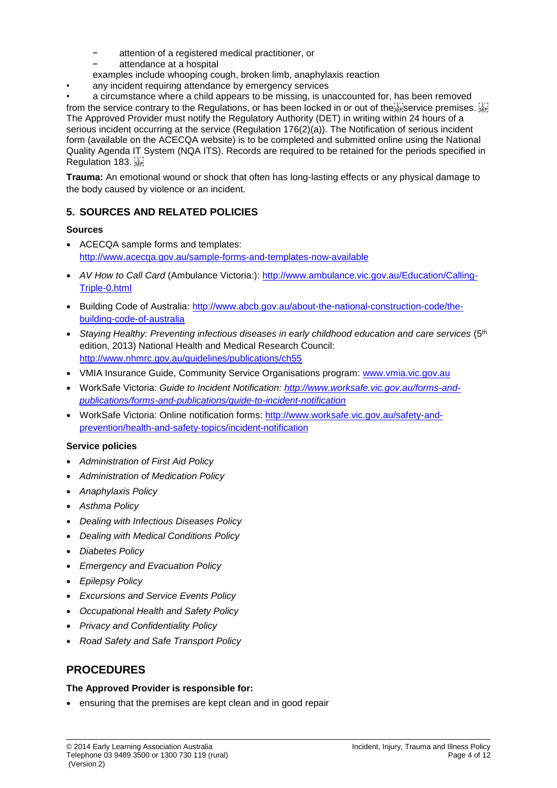- attention of a registered medical practitioner, or
	- attendance at a hospital
- examples include whooping cough, broken limb, anaphylaxis reaction
- any incident requiring attendance by emergency services

• a circumstance where a child appears to be missing, is unaccounted for, has been removed from the service contrary to the Regulations, or has been locked in or out of the service premises. The Approved Provider must notify the Regulatory Authority (DET) in writing within 24 hours of a serious incident occurring at the service (Regulation 176(2)(a)). The Notification of serious incident form (available on the ACECQA website) is to be completed and submitted online using the National Quality Agenda IT System (NQA ITS). Records are required to be retained for the periods specified in Regulation 183.

**Trauma:** An emotional wound or shock that often has long-lasting effects or any physical damage to the body caused by violence or an incident.

## **5. SOURCES AND RELATED POLICIES**

### **Sources**

- ACECQA sample forms and templates: <http://www.acecqa.gov.au/sample-forms-and-templates-now-available>
- *AV How to Call Card* (Ambulance Victoria:): [http://www.ambulance.vic.gov.au/Education/Calling-](http://www.ambulance.vic.gov.au/Education/Calling-Triple-0.html)[Triple-0.html](http://www.ambulance.vic.gov.au/Education/Calling-Triple-0.html)
- Building Code of Australia: [http://www.abcb.gov.au/about-the-national-construction-code/the](http://www.abcb.gov.au/about-the-national-construction-code/the-building-code-of-australia)[building-code-of-australia](http://www.abcb.gov.au/about-the-national-construction-code/the-building-code-of-australia)
- *Staying Healthy: Preventing infectious diseases in early childhood education and care services* (5th edition, 2013) National Health and Medical Research Council: <http://www.nhmrc.gov.au/guidelines/publications/ch55>
- VMIA Insurance Guide, Community Service Organisations program: [www.vmia.vic.gov.au](http://www.vmia.vic.gov.au/)
- WorkSafe Victoria: *Guide to Incident Notification: [http://www.worksafe.vic.gov.au/forms-and](http://www.worksafe.vic.gov.au/forms-and-publications/forms-and-publications/guide-to-incident-notification)[publications/forms-and-publications/guide-to-incident-notification](http://www.worksafe.vic.gov.au/forms-and-publications/forms-and-publications/guide-to-incident-notification)*
- WorkSafe Victoria: Online notification forms: [http://www.worksafe.vic.gov.au/safety-and](http://www.worksafe.vic.gov.au/safety-and-prevention/health-and-safety-topics/incident-notification)[prevention/health-and-safety-topics/incident-notification](http://www.worksafe.vic.gov.au/safety-and-prevention/health-and-safety-topics/incident-notification)

### **Service policies**

- *Administration of First Aid Policy*
- *Administration of Medication Policy*
- *Anaphylaxis Policy*
- *Asthma Policy*
- *Dealing with Infectious Diseases Policy*
- *Dealing with Medical Conditions Policy*
- *Diabetes Policy*
- *Emergency and Evacuation Policy*
- *Epilepsy Policy*
- *Excursions and Service Events Policy*
- *Occupational Health and Safety Policy*
- *Privacy and Confidentiality Policy*
- *Road Safety and Safe Transport Policy*

## **PROCEDURES**

#### **The Approved Provider is responsible for:**

• ensuring that the premises are kept clean and in good repair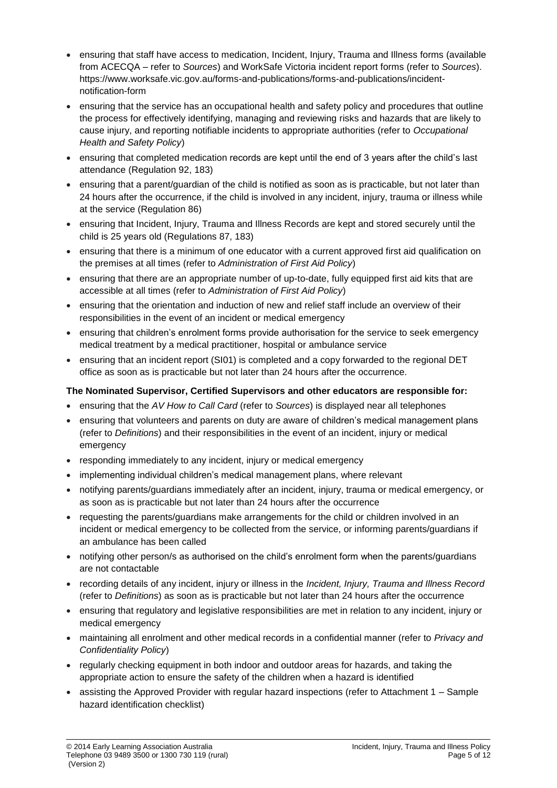- ensuring that staff have access to medication, Incident, Injury, Trauma and Illness forms (available from ACECQA – refer to *Sources*) and WorkSafe Victoria incident report forms (refer to *Sources*). https://www.worksafe.vic.gov.au/forms-and-publications/forms-and-publications/incidentnotification-form
- ensuring that the service has an occupational health and safety policy and procedures that outline the process for effectively identifying, managing and reviewing risks and hazards that are likely to cause injury, and reporting notifiable incidents to appropriate authorities (refer to *Occupational Health and Safety Policy*)
- ensuring that completed medication records are kept until the end of 3 years after the child's last attendance (Regulation 92, 183)
- ensuring that a parent/guardian of the child is notified as soon as is practicable, but not later than 24 hours after the occurrence, if the child is involved in any incident, injury, trauma or illness while at the service (Regulation 86)
- ensuring that Incident, Injury, Trauma and Illness Records are kept and stored securely until the child is 25 years old (Regulations 87, 183)
- ensuring that there is a minimum of one educator with a current approved first aid qualification on the premises at all times (refer to *Administration of First Aid Policy*)
- ensuring that there are an appropriate number of up-to-date, fully equipped first aid kits that are accessible at all times (refer to *Administration of First Aid Policy*)
- ensuring that the orientation and induction of new and relief staff include an overview of their responsibilities in the event of an incident or medical emergency
- ensuring that children's enrolment forms provide authorisation for the service to seek emergency medical treatment by a medical practitioner, hospital or ambulance service
- ensuring that an incident report (SI01) is completed and a copy forwarded to the regional DET office as soon as is practicable but not later than 24 hours after the occurrence.

### **The Nominated Supervisor, Certified Supervisors and other educators are responsible for:**

- ensuring that the *AV How to Call Card* (refer to *Sources*) is displayed near all telephones
- ensuring that volunteers and parents on duty are aware of children's medical management plans (refer to *Definitions*) and their responsibilities in the event of an incident, injury or medical emergency
- responding immediately to any incident, injury or medical emergency
- implementing individual children's medical management plans, where relevant
- notifying parents/guardians immediately after an incident, injury, trauma or medical emergency, or as soon as is practicable but not later than 24 hours after the occurrence
- requesting the parents/guardians make arrangements for the child or children involved in an incident or medical emergency to be collected from the service, or informing parents/guardians if an ambulance has been called
- notifying other person/s as authorised on the child's enrolment form when the parents/guardians are not contactable
- recording details of any incident, injury or illness in the *Incident, Injury, Trauma and Illness Record* (refer to *Definitions*) as soon as is practicable but not later than 24 hours after the occurrence
- ensuring that regulatory and legislative responsibilities are met in relation to any incident, injury or medical emergency
- maintaining all enrolment and other medical records in a confidential manner (refer to *Privacy and Confidentiality Policy*)
- regularly checking equipment in both indoor and outdoor areas for hazards, and taking the appropriate action to ensure the safety of the children when a hazard is identified
- assisting the Approved Provider with regular hazard inspections (refer to Attachment 1 Sample hazard identification checklist)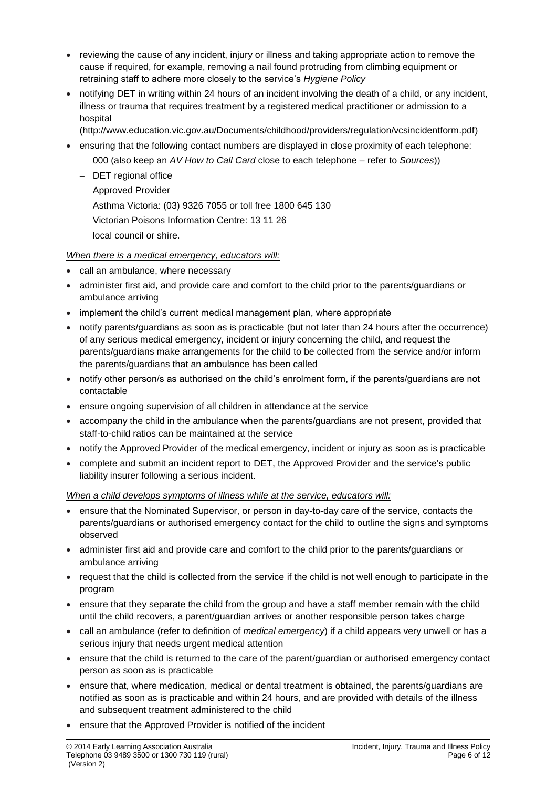- reviewing the cause of any incident, injury or illness and taking appropriate action to remove the cause if required, for example, removing a nail found protruding from climbing equipment or retraining staff to adhere more closely to the service's *Hygiene Policy*
- notifying DET in writing within 24 hours of an incident involving the death of a child, or any incident, illness or trauma that requires treatment by a registered medical practitioner or admission to a hospital
	- (http://www.education.vic.gov.au/Documents/childhood/providers/regulation/vcsincidentform.pdf)
- ensuring that the following contact numbers are displayed in close proximity of each telephone:
	- − 000 (also keep an *AV How to Call Card* close to each telephone refer to *Sources*))
	- − DET regional office
	- − Approved Provider
	- − Asthma Victoria: (03) 9326 7055 or toll free 1800 645 130
	- − Victorian Poisons Information Centre: 13 11 26
	- − local council or shire.

#### *When there is a medical emergency, educators will:*

- call an ambulance, where necessary
- administer first aid, and provide care and comfort to the child prior to the parents/guardians or ambulance arriving
- implement the child's current medical management plan, where appropriate
- notify parents/guardians as soon as is practicable (but not later than 24 hours after the occurrence) of any serious medical emergency, incident or injury concerning the child, and request the parents/guardians make arrangements for the child to be collected from the service and/or inform the parents/guardians that an ambulance has been called
- notify other person/s as authorised on the child's enrolment form, if the parents/guardians are not contactable
- ensure ongoing supervision of all children in attendance at the service
- accompany the child in the ambulance when the parents/guardians are not present, provided that staff-to-child ratios can be maintained at the service
- notify the Approved Provider of the medical emergency, incident or injury as soon as is practicable
- complete and submit an incident report to DET, the Approved Provider and the service's public liability insurer following a serious incident.

#### *When a child develops symptoms of illness while at the service, educators will:*

- ensure that the Nominated Supervisor, or person in day-to-day care of the service, contacts the parents/guardians or authorised emergency contact for the child to outline the signs and symptoms observed
- administer first aid and provide care and comfort to the child prior to the parents/guardians or ambulance arriving
- request that the child is collected from the service if the child is not well enough to participate in the program
- ensure that they separate the child from the group and have a staff member remain with the child until the child recovers, a parent/guardian arrives or another responsible person takes charge
- call an ambulance (refer to definition of *medical emergency*) if a child appears very unwell or has a serious injury that needs urgent medical attention
- ensure that the child is returned to the care of the parent/guardian or authorised emergency contact person as soon as is practicable
- ensure that, where medication, medical or dental treatment is obtained, the parents/guardians are notified as soon as is practicable and within 24 hours, and are provided with details of the illness and subsequent treatment administered to the child
- ensure that the Approved Provider is notified of the incident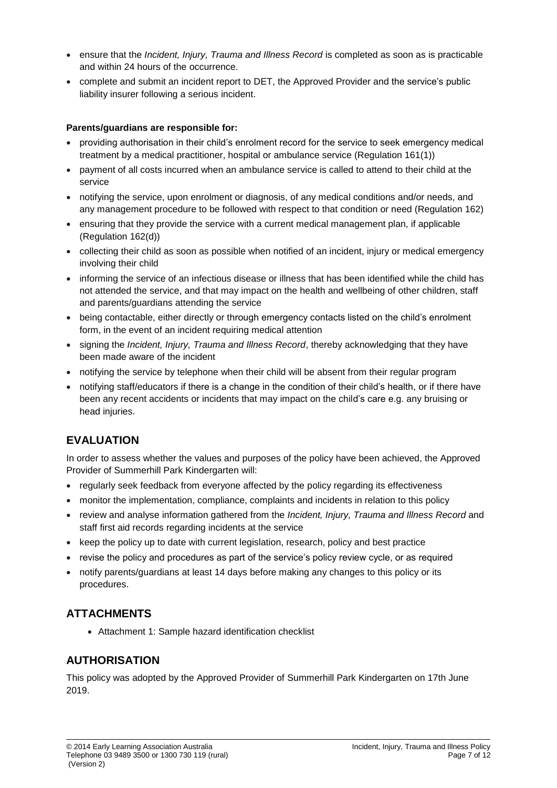- ensure that the *Incident, Injury, Trauma and Illness Record* is completed as soon as is practicable and within 24 hours of the occurrence.
- complete and submit an incident report to DET, the Approved Provider and the service's public liability insurer following a serious incident.

#### **Parents/guardians are responsible for:**

- providing authorisation in their child's enrolment record for the service to seek emergency medical treatment by a medical practitioner, hospital or ambulance service (Regulation 161(1))
- payment of all costs incurred when an ambulance service is called to attend to their child at the service
- notifying the service, upon enrolment or diagnosis, of any medical conditions and/or needs, and any management procedure to be followed with respect to that condition or need (Regulation 162)
- ensuring that they provide the service with a current medical management plan, if applicable (Regulation 162(d))
- collecting their child as soon as possible when notified of an incident, injury or medical emergency involving their child
- informing the service of an infectious disease or illness that has been identified while the child has not attended the service, and that may impact on the health and wellbeing of other children, staff and parents/guardians attending the service
- being contactable, either directly or through emergency contacts listed on the child's enrolment form, in the event of an incident requiring medical attention
- signing the *Incident, Injury, Trauma and Illness Record*, thereby acknowledging that they have been made aware of the incident
- notifying the service by telephone when their child will be absent from their regular program
- notifying staff/educators if there is a change in the condition of their child's health, or if there have been any recent accidents or incidents that may impact on the child's care e.g. any bruising or head injuries.

# **EVALUATION**

In order to assess whether the values and purposes of the policy have been achieved, the Approved Provider of Summerhill Park Kindergarten will:

- regularly seek feedback from everyone affected by the policy regarding its effectiveness
- monitor the implementation, compliance, complaints and incidents in relation to this policy
- review and analyse information gathered from the *Incident, Injury, Trauma and Illness Record* and staff first aid records regarding incidents at the service
- keep the policy up to date with current legislation, research, policy and best practice
- revise the policy and procedures as part of the service's policy review cycle, or as required
- notify parents/guardians at least 14 days before making any changes to this policy or its procedures.

## **ATTACHMENTS**

• Attachment 1: Sample hazard identification checklist

## **AUTHORISATION**

This policy was adopted by the Approved Provider of Summerhill Park Kindergarten on 17th June 2019.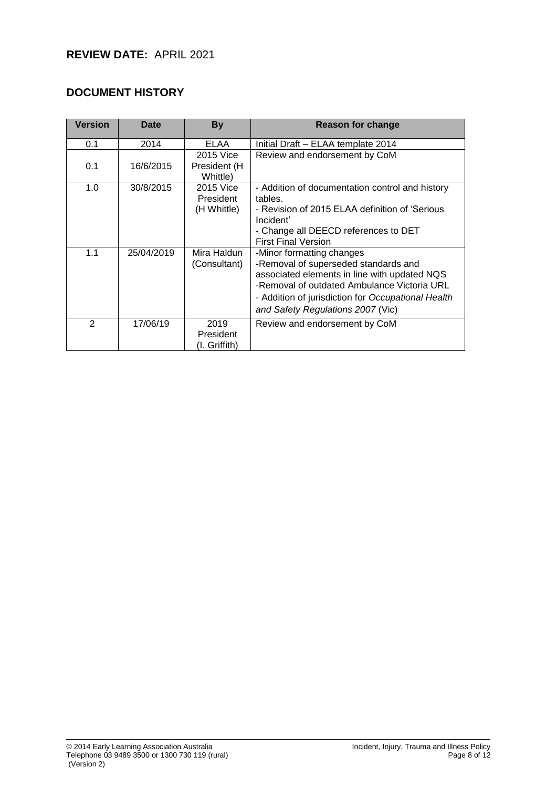## **DOCUMENT HISTORY**

| <b>Version</b> | <b>Date</b> | <b>By</b>                             | <b>Reason for change</b>                                                                                                                                                                                                                                    |  |  |
|----------------|-------------|---------------------------------------|-------------------------------------------------------------------------------------------------------------------------------------------------------------------------------------------------------------------------------------------------------------|--|--|
| 0.1            | 2014        | ELAA                                  | Initial Draft - ELAA template 2014                                                                                                                                                                                                                          |  |  |
| 0.1            | 16/6/2015   | 2015 Vice<br>President (H<br>Whittle) | Review and endorsement by CoM                                                                                                                                                                                                                               |  |  |
| 1.0            | 30/8/2015   | 2015 Vice<br>President<br>(H Whittle) | - Addition of documentation control and history<br>tables.<br>- Revision of 2015 ELAA definition of 'Serious<br>Incident'<br>- Change all DEECD references to DET<br><b>First Final Version</b>                                                             |  |  |
| 1.1            | 25/04/2019  | Mira Haldun<br>(Consultant)           | -Minor formatting changes<br>-Removal of superseded standards and<br>associated elements in line with updated NQS<br>-Removal of outdated Ambulance Victoria URL<br>- Addition of jurisdiction for Occupational Health<br>and Safety Regulations 2007 (Vic) |  |  |
| $\overline{2}$ | 17/06/19    | 2019<br>President<br>(I. Griffith)    | Review and endorsement by CoM                                                                                                                                                                                                                               |  |  |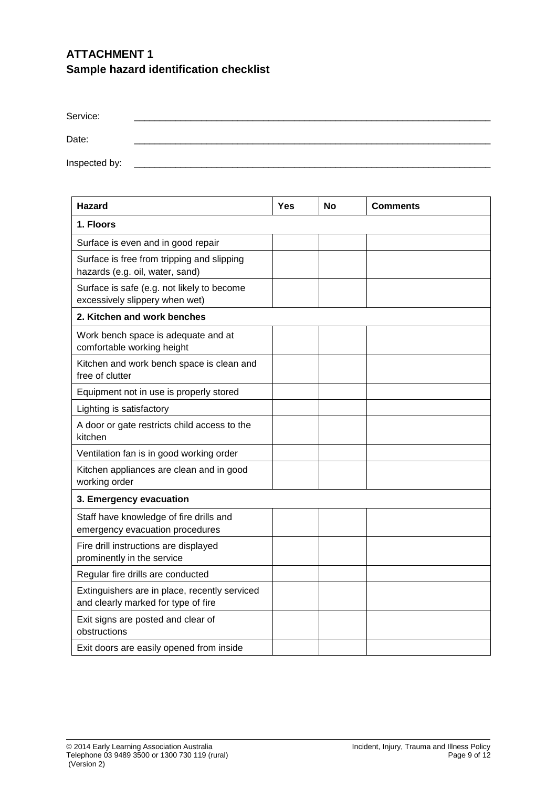# **ATTACHMENT 1 Sample hazard identification checklist**

| Service:      |  |  |
|---------------|--|--|
| Date:         |  |  |
| Inspected by: |  |  |

| <b>Hazard</b>                                                                        | <b>Yes</b> | No | <b>Comments</b> |  |  |
|--------------------------------------------------------------------------------------|------------|----|-----------------|--|--|
| 1. Floors                                                                            |            |    |                 |  |  |
| Surface is even and in good repair                                                   |            |    |                 |  |  |
| Surface is free from tripping and slipping<br>hazards (e.g. oil, water, sand)        |            |    |                 |  |  |
| Surface is safe (e.g. not likely to become<br>excessively slippery when wet)         |            |    |                 |  |  |
| 2. Kitchen and work benches                                                          |            |    |                 |  |  |
| Work bench space is adequate and at<br>comfortable working height                    |            |    |                 |  |  |
| Kitchen and work bench space is clean and<br>free of clutter                         |            |    |                 |  |  |
| Equipment not in use is properly stored                                              |            |    |                 |  |  |
| Lighting is satisfactory                                                             |            |    |                 |  |  |
| A door or gate restricts child access to the<br>kitchen                              |            |    |                 |  |  |
| Ventilation fan is in good working order                                             |            |    |                 |  |  |
| Kitchen appliances are clean and in good<br>working order                            |            |    |                 |  |  |
| 3. Emergency evacuation                                                              |            |    |                 |  |  |
| Staff have knowledge of fire drills and<br>emergency evacuation procedures           |            |    |                 |  |  |
| Fire drill instructions are displayed<br>prominently in the service                  |            |    |                 |  |  |
| Regular fire drills are conducted                                                    |            |    |                 |  |  |
| Extinguishers are in place, recently serviced<br>and clearly marked for type of fire |            |    |                 |  |  |
| Exit signs are posted and clear of<br>obstructions                                   |            |    |                 |  |  |
| Exit doors are easily opened from inside                                             |            |    |                 |  |  |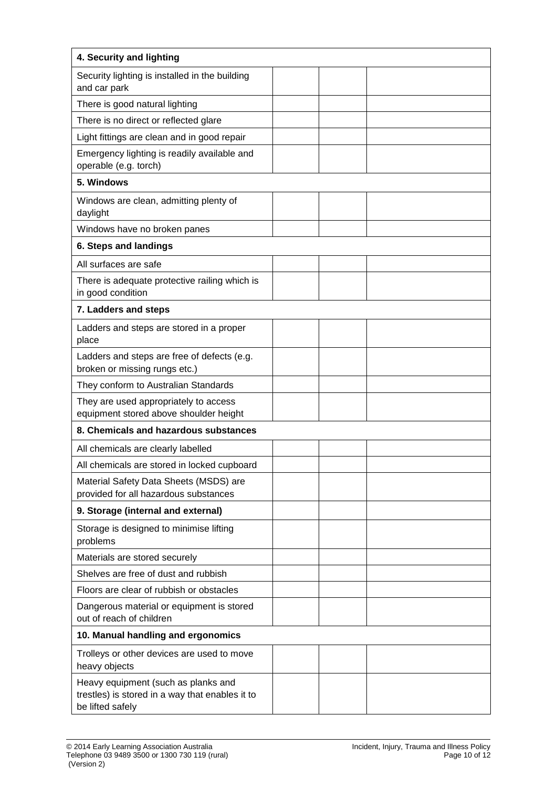| 4. Security and lighting                                                                                   |  |  |
|------------------------------------------------------------------------------------------------------------|--|--|
| Security lighting is installed in the building<br>and car park                                             |  |  |
| There is good natural lighting                                                                             |  |  |
| There is no direct or reflected glare                                                                      |  |  |
| Light fittings are clean and in good repair                                                                |  |  |
| Emergency lighting is readily available and<br>operable (e.g. torch)                                       |  |  |
| 5. Windows                                                                                                 |  |  |
| Windows are clean, admitting plenty of<br>daylight                                                         |  |  |
| Windows have no broken panes                                                                               |  |  |
| 6. Steps and landings                                                                                      |  |  |
| All surfaces are safe                                                                                      |  |  |
| There is adequate protective railing which is<br>in good condition                                         |  |  |
| 7. Ladders and steps                                                                                       |  |  |
| Ladders and steps are stored in a proper<br>place                                                          |  |  |
| Ladders and steps are free of defects (e.g.<br>broken or missing rungs etc.)                               |  |  |
| They conform to Australian Standards                                                                       |  |  |
| They are used appropriately to access<br>equipment stored above shoulder height                            |  |  |
| 8. Chemicals and hazardous substances                                                                      |  |  |
| All chemicals are clearly labelled                                                                         |  |  |
| All chemicals are stored in locked cupboard                                                                |  |  |
| Material Safety Data Sheets (MSDS) are<br>provided for all hazardous substances                            |  |  |
| 9. Storage (internal and external)                                                                         |  |  |
| Storage is designed to minimise lifting<br>problems                                                        |  |  |
| Materials are stored securely                                                                              |  |  |
| Shelves are free of dust and rubbish                                                                       |  |  |
| Floors are clear of rubbish or obstacles                                                                   |  |  |
| Dangerous material or equipment is stored<br>out of reach of children                                      |  |  |
| 10. Manual handling and ergonomics                                                                         |  |  |
| Trolleys or other devices are used to move<br>heavy objects                                                |  |  |
| Heavy equipment (such as planks and<br>trestles) is stored in a way that enables it to<br>be lifted safely |  |  |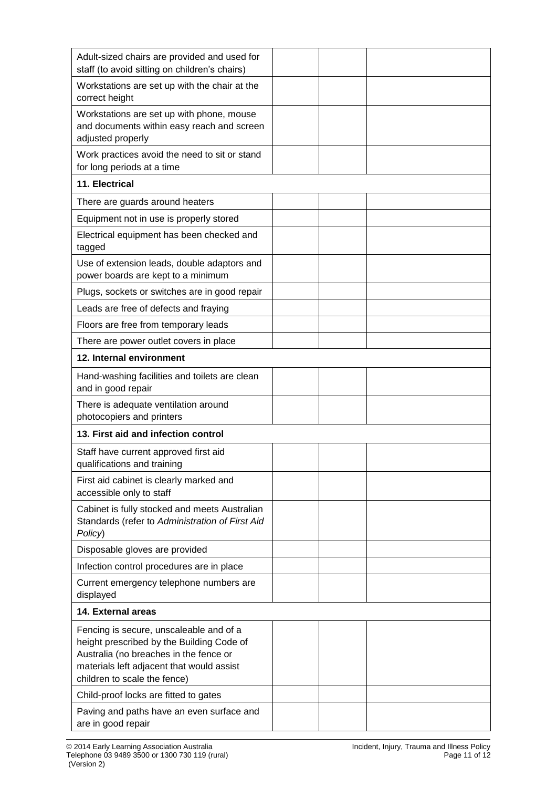| Adult-sized chairs are provided and used for<br>staff (to avoid sitting on children's chairs)                                                                                                               |  |  |
|-------------------------------------------------------------------------------------------------------------------------------------------------------------------------------------------------------------|--|--|
| Workstations are set up with the chair at the<br>correct height                                                                                                                                             |  |  |
| Workstations are set up with phone, mouse<br>and documents within easy reach and screen<br>adjusted properly                                                                                                |  |  |
| Work practices avoid the need to sit or stand<br>for long periods at a time                                                                                                                                 |  |  |
| 11. Electrical                                                                                                                                                                                              |  |  |
| There are guards around heaters                                                                                                                                                                             |  |  |
| Equipment not in use is properly stored                                                                                                                                                                     |  |  |
| Electrical equipment has been checked and<br>tagged                                                                                                                                                         |  |  |
| Use of extension leads, double adaptors and<br>power boards are kept to a minimum                                                                                                                           |  |  |
| Plugs, sockets or switches are in good repair                                                                                                                                                               |  |  |
| Leads are free of defects and fraying                                                                                                                                                                       |  |  |
| Floors are free from temporary leads                                                                                                                                                                        |  |  |
| There are power outlet covers in place                                                                                                                                                                      |  |  |
| 12. Internal environment                                                                                                                                                                                    |  |  |
| Hand-washing facilities and toilets are clean<br>and in good repair                                                                                                                                         |  |  |
| There is adequate ventilation around<br>photocopiers and printers                                                                                                                                           |  |  |
| 13. First aid and infection control                                                                                                                                                                         |  |  |
| Staff have current approved first aid<br>qualifications and training                                                                                                                                        |  |  |
| First aid cabinet is clearly marked and<br>accessible only to staff                                                                                                                                         |  |  |
| Cabinet is fully stocked and meets Australian<br>Standards (refer to Administration of First Aid<br>Policy)                                                                                                 |  |  |
| Disposable gloves are provided                                                                                                                                                                              |  |  |
| Infection control procedures are in place                                                                                                                                                                   |  |  |
| Current emergency telephone numbers are<br>displayed                                                                                                                                                        |  |  |
| 14. External areas                                                                                                                                                                                          |  |  |
| Fencing is secure, unscaleable and of a<br>height prescribed by the Building Code of<br>Australia (no breaches in the fence or<br>materials left adjacent that would assist<br>children to scale the fence) |  |  |
| Child-proof locks are fitted to gates                                                                                                                                                                       |  |  |
| Paving and paths have an even surface and<br>are in good repair                                                                                                                                             |  |  |